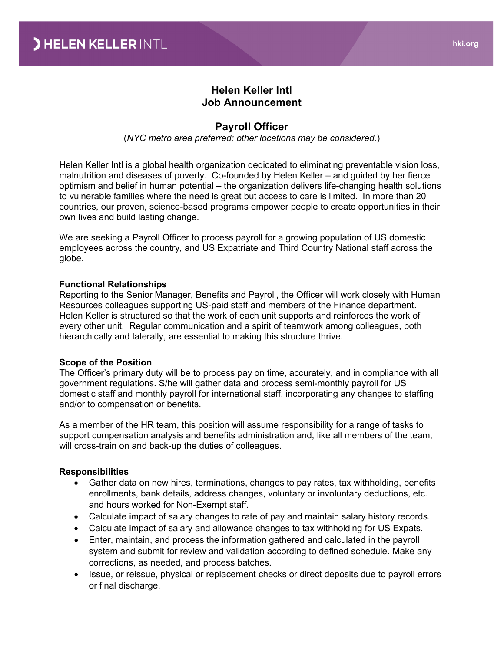# **Helen Keller Intl Job Announcement**

### **Payroll Officer**

(*NYC metro area preferred; other locations may be considered.*)

Helen Keller Intl is a global health organization dedicated to eliminating preventable vision loss, malnutrition and diseases of poverty. Co-founded by Helen Keller – and guided by her fierce optimism and belief in human potential – the organization delivers life-changing health solutions to vulnerable families where the need is great but access to care is limited. In more than 20 countries, our proven, science-based programs empower people to create opportunities in their own lives and build lasting change.

We are seeking a Payroll Officer to process payroll for a growing population of US domestic employees across the country, and US Expatriate and Third Country National staff across the globe.

#### **Functional Relationships**

Reporting to the Senior Manager, Benefits and Payroll, the Officer will work closely with Human Resources colleagues supporting US-paid staff and members of the Finance department. Helen Keller is structured so that the work of each unit supports and reinforces the work of every other unit. Regular communication and a spirit of teamwork among colleagues, both hierarchically and laterally, are essential to making this structure thrive.

#### **Scope of the Position**

The Officer's primary duty will be to process pay on time, accurately, and in compliance with all government regulations. S/he will gather data and process semi-monthly payroll for US domestic staff and monthly payroll for international staff, incorporating any changes to staffing and/or to compensation or benefits.

As a member of the HR team, this position will assume responsibility for a range of tasks to support compensation analysis and benefits administration and, like all members of the team, will cross-train on and back-up the duties of colleagues.

#### **Responsibilities**

- Gather data on new hires, terminations, changes to pay rates, tax withholding, benefits enrollments, bank details, address changes, voluntary or involuntary deductions, etc. and hours worked for Non-Exempt staff.
- Calculate impact of salary changes to rate of pay and maintain salary history records.
- Calculate impact of salary and allowance changes to tax withholding for US Expats.
- Enter, maintain, and process the information gathered and calculated in the payroll system and submit for review and validation according to defined schedule. Make any corrections, as needed, and process batches.
- Issue, or reissue, physical or replacement checks or direct deposits due to payroll errors or final discharge.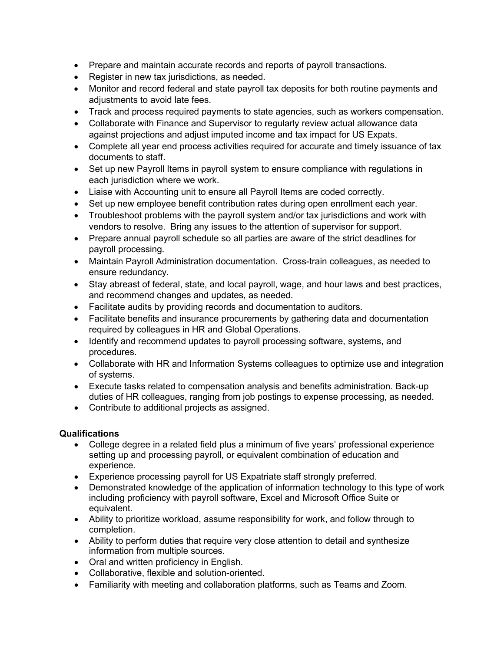- Prepare and maintain accurate records and reports of payroll transactions.
- Register in new tax jurisdictions, as needed.
- Monitor and record federal and state payroll tax deposits for both routine payments and adjustments to avoid late fees.
- Track and process required payments to state agencies, such as workers compensation.
- Collaborate with Finance and Supervisor to regularly review actual allowance data against projections and adjust imputed income and tax impact for US Expats.
- Complete all year end process activities required for accurate and timely issuance of tax documents to staff.
- Set up new Payroll Items in payroll system to ensure compliance with regulations in each jurisdiction where we work.
- Liaise with Accounting unit to ensure all Payroll Items are coded correctly.
- Set up new employee benefit contribution rates during open enrollment each year.
- Troubleshoot problems with the payroll system and/or tax jurisdictions and work with vendors to resolve. Bring any issues to the attention of supervisor for support.
- Prepare annual payroll schedule so all parties are aware of the strict deadlines for payroll processing.
- Maintain Payroll Administration documentation. Cross-train colleagues, as needed to ensure redundancy.
- Stay abreast of federal, state, and local payroll, wage, and hour laws and best practices, and recommend changes and updates, as needed.
- Facilitate audits by providing records and documentation to auditors.
- Facilitate benefits and insurance procurements by gathering data and documentation required by colleagues in HR and Global Operations.
- Identify and recommend updates to payroll processing software, systems, and procedures.
- Collaborate with HR and Information Systems colleagues to optimize use and integration of systems.
- Execute tasks related to compensation analysis and benefits administration. Back-up duties of HR colleagues, ranging from job postings to expense processing, as needed.
- Contribute to additional projects as assigned.

## **Qualifications**

- College degree in a related field plus a minimum of five years' professional experience setting up and processing payroll, or equivalent combination of education and experience.
- Experience processing payroll for US Expatriate staff strongly preferred.
- Demonstrated knowledge of the application of information technology to this type of work including proficiency with payroll software, Excel and Microsoft Office Suite or equivalent.
- Ability to prioritize workload, assume responsibility for work, and follow through to completion.
- Ability to perform duties that require very close attention to detail and synthesize information from multiple sources.
- Oral and written proficiency in English.
- Collaborative, flexible and solution-oriented.
- Familiarity with meeting and collaboration platforms, such as Teams and Zoom.